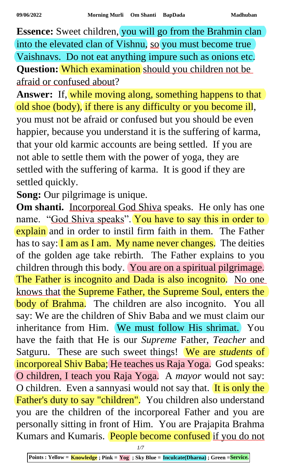**Essence:** Sweet children, you will go from the Brahmin clan into the elevated clan of Vishnu, so you must become true Vaishnavs. Do not eat anything impure such as onions etc. **Question:** Which examination should you children not be afraid or confused about?

Answer: If, while moving along, something happens to that old shoe (body), if there is any difficulty or you become ill, you must not be afraid or confused but you should be even happier, because you understand it is the suffering of karma, that your old karmic accounts are being settled. If you are not able to settle them with the power of yoga, they are settled with the suffering of karma. It is good if they are settled quickly.

**Song:** Our pilgrimage is unique.

**Om shanti.** Incorporeal God Shiva speaks. He only has one name. "God Shiva speaks". You have to say this in order to explain and in order to instil firm faith in them. The Father has to say: I am as I am. My name never changes. The deities of the golden age take rebirth. The Father explains to you children through this body. You are on a spiritual pilgrimage. The Father is incognito and Dada is also incognito. No one knows that the Supreme Father, the Supreme Soul, enters the body of Brahma. The children are also incognito. You all say: We are the children of Shiv Baba and we must claim our inheritance from Him. We must follow His shrimat. You have the faith that He is our *Supreme* Father, *Teacher* and Satguru. These are such sweet things! We are *students* of incorporeal Shiv Baba; He teaches us Raja Yoga. God speaks: O children, I teach you Raja Yoga. A *mayor* would not say: O children. Even a sannyasi would not say that. It is only the Father's duty to say "children". You children also understand you are the children of the incorporeal Father and you are personally sitting in front of Him. You are Prajapita Brahma Kumars and Kumaris. People become confused if you do not

*1/7*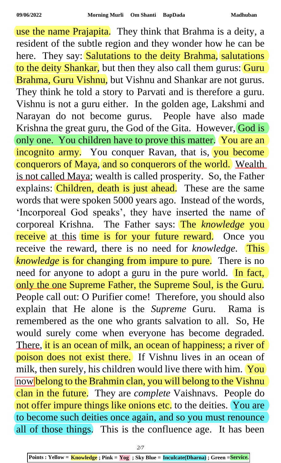use the name Prajapita. They think that Brahma is a deity, a resident of the subtle region and they wonder how he can be here. They say: Salutations to the deity Brahma, salutations to the deity Shankar, but then they also call them gurus: Guru Brahma, Guru Vishnu, but Vishnu and Shankar are not gurus. They think he told a story to Parvati and is therefore a guru. Vishnu is not a guru either. In the golden age, Lakshmi and Narayan do not become gurus. People have also made Krishna the great guru, the God of the Gita. However, God is only one. You children have to prove this matter. You are an incognito army. You conquer Ravan, that is, you become conquerors of Maya, and so conquerors of the world. Wealth is not called Maya; wealth is called prosperity. So, the Father explains: Children, death is just ahead. These are the same words that were spoken 5000 years ago. Instead of the words, 'Incorporeal God speaks', they have inserted the name of corporeal Krishna. The Father says: The *knowledge* you receive at this time is for your future reward. Once you receive the reward, there is no need for *knowledge*. This *knowledge* is for changing from impure to pure. There is no need for anyone to adopt a guru in the pure world. In fact, only the one Supreme Father, the Supreme Soul, is the Guru. People call out: O Purifier come! Therefore, you should also explain that He alone is the *Supreme* Guru. Rama is remembered as the one who grants salvation to all. So, He would surely come when everyone has become degraded. There, it is an ocean of milk, an ocean of happiness; a river of poison does not exist there. If Vishnu lives in an ocean of milk, then surely, his children would live there with him. You now belong to the Brahmin clan, you will belong to the Vishnu clan in the future. They are *complete* Vaishnavs. People do not offer impure things like onions etc. to the deities. You are to become such deities once again, and so you must renounce all of those things. This is the confluence age. It has been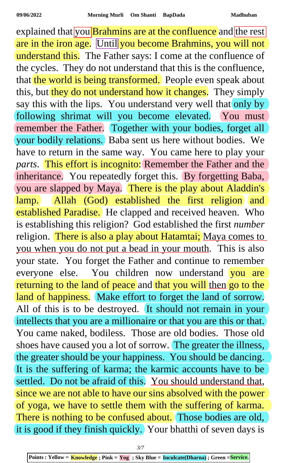explained that you **Brahmins are at the confluence** and the rest are in the iron age. Until you become Brahmins, you will not understand this. The Father says: I come at the confluence of the cycles. They do not understand that this is the confluence, that the world is being transformed. People even speak about this, but they do not understand how it changes. They simply say this with the lips. You understand very well that only by following shrimat will you become elevated. You must remember the Father. Together with your bodies, forget all your bodily relations. Baba sent us here without bodies. We have to return in the same way. You came here to play your *parts*. This effort is incognito: Remember the Father and the inheritance. You repeatedly forget this. By forgetting Baba, you are slapped by Maya. There is the play about Aladdin's lamp. Allah (God) established the first religion and established Paradise. He clapped and received heaven. Who is establishing this religion? God established the first *number* religion. There is also a play about Hatamtai; Maya comes to you when you do not put a bead in your mouth. This is also your state. You forget the Father and continue to remember everyone else. You children now understand you are returning to the land of peace and that you will then go to the land of happiness. Make effort to forget the land of sorrow. All of this is to be destroyed. It should not remain in your intellects that you are a millionaire or that you are this or that. You came naked, bodiless. Those are old bodies. Those old shoes have caused you a lot of sorrow. The greater the illness, the greater should be your happiness. You should be dancing. It is the suffering of karma; the karmic accounts have to be settled. Do not be afraid of this. You should understand that, since we are not able to have our sins absolved with the power of yoga, we have to settle them with the suffering of karma. There is nothing to be confused about. Those bodies are old, it is good if they finish quickly. Your bhatthi of seven days is

*3/7*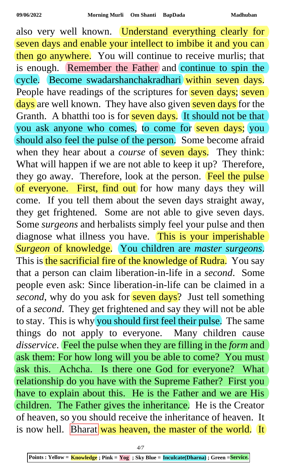also very well known. Understand everything clearly for seven days and enable your intellect to imbibe it and you can then go anywhere. You will continue to receive murlis; that is enough. Remember the Father and continue to spin the cycle. Become swadarshanchakradhari within seven days. People have readings of the scriptures for seven days; seven days are well known. They have also given seven days for the Granth. A bhatthi too is for seven days. It should not be that you ask anyone who comes, to come for seven days; you should also feel the pulse of the person. Some become afraid when they hear about a *course* of **seven days.** They think: What will happen if we are not able to keep it up? Therefore, they go away. Therefore, look at the person. Feel the pulse of everyone. First, find out for how many days they will come. If you tell them about the seven days straight away, they get frightened. Some are not able to give seven days. Some *surgeons* and herbalists simply feel your pulse and then diagnose what illness you have. This is your imperishable *Surgeon* of knowledge. You children are *master surgeons*. This is the sacrificial fire of the knowledge of Rudra. You say that a person can claim liberation-in-life in a *second*. Some people even ask: Since liberation-in-life can be claimed in a *second*, why do you ask for **seven days**? Just tell something of a *second*. They get frightened and say they will not be able to stay. This is why you should first feel their pulse. The same things do not apply to everyone. Many children cause *disservice*. Feel the pulse when they are filling in the *form* and ask them: For how long will you be able to come? You must ask this. Achcha. Is there one God for everyone? What relationship do you have with the Supreme Father? First you have to explain about this. He is the Father and we are His children. The Father gives the inheritance. He is the Creator of heaven, so you should receive the inheritance of heaven. It is now hell. **Bharat** was heaven, the master of the world. It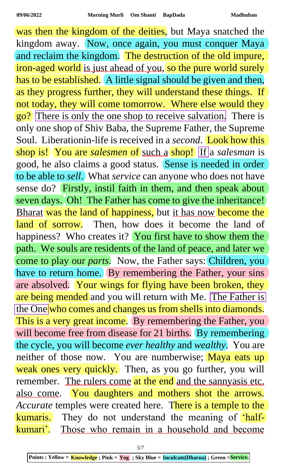was then the kingdom of the deities, but Maya snatched the kingdom away. Now, once again, you must conquer Maya and reclaim the kingdom. The destruction of the old impure, iron-aged world is just ahead of you, so the pure world surely has to be established. A little signal should be given and then, as they progress further, they will understand these things. If not today, they will come tomorrow. Where else would they go? There is only the one shop to receive salvation. There is only one shop of Shiv Baba, the Supreme Father, the Supreme Soul. Liberationin-life is received in a *second*. Look how this shop is! You are *salesmen* of such a shop! If a *salesman* is good, he also claims a good status. Sense is needed in order to be able to *sell*. What *service* can anyone who does not have sense do? Firstly, instil faith in them, and then speak about seven days. Oh! The Father has come to give the inheritance! Bharat was the land of happiness, but it has now become the land of sorrow. Then, how does it become the land of happiness? Who creates it? You first have to show them the path. We souls are residents of the land of peace, and later we come to play our *parts*. Now, the Father says: Children, you have to return home. By remembering the Father, your sins are absolved. Your wings for flying have been broken, they are being mended and you will return with Me. The Father is the One who comes and changes us from shells into diamonds. This is a very great income. By remembering the Father, you will become free from disease for 21 births. By remembering the cycle, you will become *ever healthy* and *wealthy*. You are neither of those now. You are numberwise; Maya eats up weak ones very quickly. Then, as you go further, you will remember. The rulers come at the end and the sannyasis etc. also come. You daughters and mothers shot the arrows. *Accurate* temples were created here. There is a temple to the kumaris. They do not understand the meaning of 'halfkumari'. Those who remain in a household and become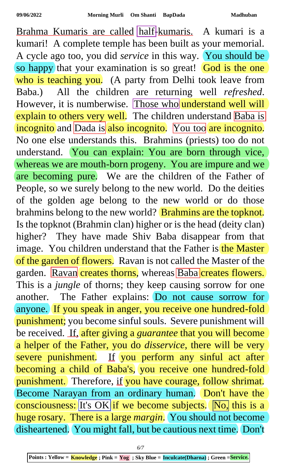Brahma Kumaris are called half-kumaris. A kumari is a kumari! A complete temple has been built as your memorial. A cycle ago too, you did *service* in this way. You should be so happy that your examination is so great! God is the one who is teaching you. (A party from Delhi took leave from Baba.) All the children are returning well *refreshed*. However, it is numberwise. Those who understand well will explain to others very well. The children understand Baba is incognito and Dada is also incognito. You too are incognito. No one else understands this. Brahmins (priests) too do not understand. You can explain: You are born through vice, whereas we are mouth-born progeny. You are impure and we are becoming pure. We are the children of the Father of People, so we surely belong to the new world. Do the deities of the golden age belong to the new world or do those brahmins belong to the new world? Brahmins are the topknot. Is the topknot (Brahmin clan) higher or is the head (deity clan) higher? They have made Shiv Baba disappear from that image. You children understand that the Father is the Master of the garden of flowers. Ravan is not called the Master of the garden. Ravan creates thorns, whereas Baba creates flowers. This is a *jungle* of thorns; they keep causing sorrow for one another. The Father explains: Do not cause sorrow for anyone. If you speak in anger, you receive one hundred-fold punishment; you become sinful souls. Severe punishment will be received. If, after giving a *guarantee* that you will become a helper of the Father, you do *disservice*, there will be very severe punishment. If you perform any sinful act after becoming a child of Baba's, you receive one hundred-fold punishment. Therefore, if you have courage, follow shrimat. Become Narayan from an ordinary human. Don't have the consciousness: It's OK if we become subjects. No, this is a huge rosary. There is a large *margin*. You should not become disheartened. You might fall, but be cautious next time. Don't